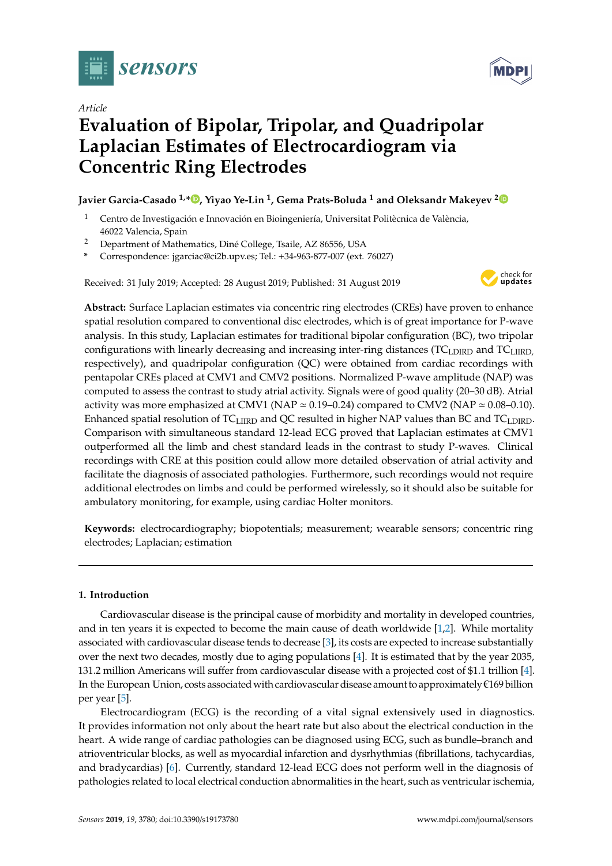

*Article*

# **Evaluation of Bipolar, Tripolar, and Quadripolar Laplacian Estimates of Electrocardiogram via Concentric Ring Electrodes**

## **Javier Garcia-Casado 1,[\\*](https://orcid.org/0000-0003-1410-2721) , Yiyao Ye-Lin <sup>1</sup> , Gema Prats-Boluda <sup>1</sup> and Oleksandr Makeyev [2](https://orcid.org/0000-0003-2648-0500)**

- <sup>1</sup> Centro de Investigación e Innovación en Bioingeniería, Universitat Politècnica de València, 46022 Valencia, Spain
- <sup>2</sup> Department of Mathematics, Diné College, Tsaile, AZ 86556, USA
- **\*** Correspondence: jgarciac@ci2b.upv.es; Tel.: +34-963-877-007 (ext. 76027)

Received: 31 July 2019; Accepted: 28 August 2019; Published: 31 August 2019



**Abstract:** Surface Laplacian estimates via concentric ring electrodes (CREs) have proven to enhance spatial resolution compared to conventional disc electrodes, which is of great importance for P-wave analysis. In this study, Laplacian estimates for traditional bipolar configuration (BC), two tripolar configurations with linearly decreasing and increasing inter-ring distances (TC<sub>LDIRD</sub> and TC<sub>LIIRD</sub>, respectively), and quadripolar configuration (QC) were obtained from cardiac recordings with pentapolar CREs placed at CMV1 and CMV2 positions. Normalized P-wave amplitude (NAP) was computed to assess the contrast to study atrial activity. Signals were of good quality (20–30 dB). Atrial activity was more emphasized at CMV1 (NAP  $\simeq$  0.19–0.24) compared to CMV2 (NAP  $\simeq$  0.08–0.10). Enhanced spatial resolution of TC<sub>LIIRD</sub> and QC resulted in higher NAP values than BC and TC<sub>LDIRD</sub>. Comparison with simultaneous standard 12-lead ECG proved that Laplacian estimates at CMV1 outperformed all the limb and chest standard leads in the contrast to study P-waves. Clinical recordings with CRE at this position could allow more detailed observation of atrial activity and facilitate the diagnosis of associated pathologies. Furthermore, such recordings would not require additional electrodes on limbs and could be performed wirelessly, so it should also be suitable for ambulatory monitoring, for example, using cardiac Holter monitors.

**Keywords:** electrocardiography; biopotentials; measurement; wearable sensors; concentric ring electrodes; Laplacian; estimation

## **1. Introduction**

Cardiovascular disease is the principal cause of morbidity and mortality in developed countries, and in ten years it is expected to become the main cause of death worldwide [\[1,](#page-8-0)[2\]](#page-8-1). While mortality associated with cardiovascular disease tends to decrease [\[3\]](#page-8-2), its costs are expected to increase substantially over the next two decades, mostly due to aging populations [\[4\]](#page-8-3). It is estimated that by the year 2035, 131.2 million Americans will suffer from cardiovascular disease with a projected cost of \$1.1 trillion [\[4\]](#page-8-3). In the European Union, costs associated with cardiovascular disease amount to approximately €169 billion per year [\[5\]](#page-8-4).

Electrocardiogram (ECG) is the recording of a vital signal extensively used in diagnostics. It provides information not only about the heart rate but also about the electrical conduction in the heart. A wide range of cardiac pathologies can be diagnosed using ECG, such as bundle–branch and atrioventricular blocks, as well as myocardial infarction and dysrhythmias (fibrillations, tachycardias, and bradycardias) [\[6\]](#page-8-5). Currently, standard 12-lead ECG does not perform well in the diagnosis of pathologies related to local electrical conduction abnormalities in the heart, such as ventricular ischemia,

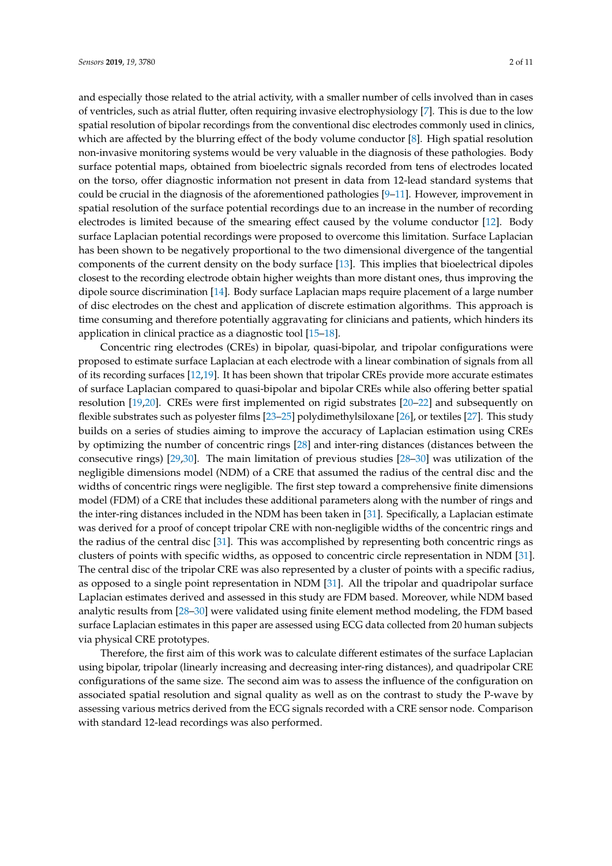and especially those related to the atrial activity, with a smaller number of cells involved than in cases of ventricles, such as atrial flutter, often requiring invasive electrophysiology [\[7\]](#page-8-6). This is due to the low spatial resolution of bipolar recordings from the conventional disc electrodes commonly used in clinics, which are affected by the blurring effect of the body volume conductor [\[8\]](#page-8-7). High spatial resolution non-invasive monitoring systems would be very valuable in the diagnosis of these pathologies. Body surface potential maps, obtained from bioelectric signals recorded from tens of electrodes located on the torso, offer diagnostic information not present in data from 12-lead standard systems that could be crucial in the diagnosis of the aforementioned pathologies [\[9](#page-8-8)[–11\]](#page-8-9). However, improvement in spatial resolution of the surface potential recordings due to an increase in the number of recording electrodes is limited because of the smearing effect caused by the volume conductor [\[12\]](#page-8-10). Body surface Laplacian potential recordings were proposed to overcome this limitation. Surface Laplacian has been shown to be negatively proportional to the two dimensional divergence of the tangential components of the current density on the body surface [\[13\]](#page-8-11). This implies that bioelectrical dipoles closest to the recording electrode obtain higher weights than more distant ones, thus improving the dipole source discrimination [\[14\]](#page-8-12). Body surface Laplacian maps require placement of a large number of disc electrodes on the chest and application of discrete estimation algorithms. This approach is time consuming and therefore potentially aggravating for clinicians and patients, which hinders its application in clinical practice as a diagnostic tool [\[15–](#page-8-13)[18\]](#page-9-0).

Concentric ring electrodes (CREs) in bipolar, quasi-bipolar, and tripolar configurations were proposed to estimate surface Laplacian at each electrode with a linear combination of signals from all of its recording surfaces [\[12](#page-8-10)[,19\]](#page-9-1). It has been shown that tripolar CREs provide more accurate estimates of surface Laplacian compared to quasi-bipolar and bipolar CREs while also offering better spatial resolution [\[19,](#page-9-1)[20\]](#page-9-2). CREs were first implemented on rigid substrates [\[20](#page-9-2)[–22\]](#page-9-3) and subsequently on flexible substrates such as polyester films [\[23–](#page-9-4)[25\]](#page-9-5) polydimethylsiloxane [\[26\]](#page-9-6), or textiles [\[27\]](#page-9-7). This study builds on a series of studies aiming to improve the accuracy of Laplacian estimation using CREs by optimizing the number of concentric rings [\[28\]](#page-9-8) and inter-ring distances (distances between the consecutive rings) [\[29](#page-9-9)[,30\]](#page-9-10). The main limitation of previous studies [\[28](#page-9-8)[–30\]](#page-9-10) was utilization of the negligible dimensions model (NDM) of a CRE that assumed the radius of the central disc and the widths of concentric rings were negligible. The first step toward a comprehensive finite dimensions model (FDM) of a CRE that includes these additional parameters along with the number of rings and the inter-ring distances included in the NDM has been taken in [\[31\]](#page-9-11). Specifically, a Laplacian estimate was derived for a proof of concept tripolar CRE with non-negligible widths of the concentric rings and the radius of the central disc [\[31\]](#page-9-11). This was accomplished by representing both concentric rings as clusters of points with specific widths, as opposed to concentric circle representation in NDM [\[31\]](#page-9-11). The central disc of the tripolar CRE was also represented by a cluster of points with a specific radius, as opposed to a single point representation in NDM [\[31\]](#page-9-11). All the tripolar and quadripolar surface Laplacian estimates derived and assessed in this study are FDM based. Moreover, while NDM based analytic results from [\[28](#page-9-8)[–30\]](#page-9-10) were validated using finite element method modeling, the FDM based surface Laplacian estimates in this paper are assessed using ECG data collected from 20 human subjects via physical CRE prototypes.

Therefore, the first aim of this work was to calculate different estimates of the surface Laplacian using bipolar, tripolar (linearly increasing and decreasing inter-ring distances), and quadripolar CRE configurations of the same size. The second aim was to assess the influence of the configuration on associated spatial resolution and signal quality as well as on the contrast to study the P-wave by assessing various metrics derived from the ECG signals recorded with a CRE sensor node. Comparison with standard 12-lead recordings was also performed.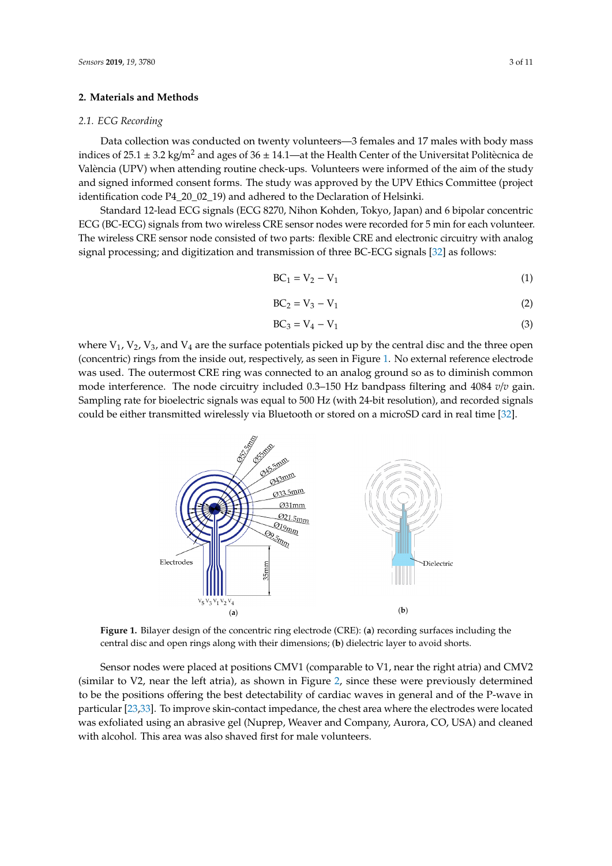### **2. Materials and Methods**

#### *2.1. ECG Recording*

Data collection was conducted on twenty volunteers—3 females and 17 males with body mass indices of 25.1  $\pm$  3.2 kg/m<sup>2</sup> and ages of 36  $\pm$  14.1—at the Health Center of the Universitat Politècnica de València (UPV) when attending routine check-ups. Volunteers were informed of the aim of the study and signed informed consent forms. The study was approved by the UPV Ethics Committee (project identification code P4\_20\_02\_19) and adhered to the Declaration of Helsinki.

Standard 12-lead ECG signals (ECG 8270, Nihon Kohden, Tokyo, Japan) and 6 bipolar concentric ECG (BC-ECG) signals from two wireless CRE sensor nodes were recorded for 5 min for each volunteer. The wireless CRE sensor node consisted of two parts: flexible CRE and electronic circuitry with analog signal processing; and digitization and transmission of three BC-ECG signals [\[32\]](#page-9-12) as follows:  $\mathfrak{g}_\kappa$  and digitization and transmission of three be-ECG signals [52] as follow

$$
BC_1 = V_2 - V_1 \tag{1}
$$

$$
BC_2 = V_3 - V_1 \tag{2}
$$

$$
BC_3 = V_4 - V_1 \tag{3}
$$

where  $V_1$ ,  $V_2$ ,  $V_3$ , and  $V_4$  are the surface potentials picked up by the central disc and the three open (concentric) rings from the inside out, respectively, as seen in Figure [1.](#page-2-0) No external reference electrode (concentric) rings from the inside out, respectively, as seen in Figure 1. No external reference was used. The outermost CRE ring was connected to an analog ground so as to diminish common mode interference. The node circuitry included 0.3–150 Hz bandpass filtering and 4084 *v*/*v* gain. Sampling rate for bioelectric signals was equal to 500 Hz (with 24-bit resolution), and recorded signals could be either transmitted wirelessly via Bluetooth or stored on a microSD card in real time [\[32\]](#page-9-12). electronic used. The outer credit CRE ring was connected to an analog ground so an analog ground so an analog  $\overline{\mathbf{3}}$ 

<span id="page-2-0"></span>

Figure 1. Bilayer design of the concentric ring electrode (CRE): (a) recording surfaces including the central disc and open rings along with their dimensions; (**b**) dielectric layer to avoid shorts. central disc and open rings along with their dimensions; (**b**) dielectric layer to avoid shorts.

Sensor nodes were placed at positions CMV1 (comparable to V1, near the right atria) and CMV2 (similar to V[2,](#page-3-0) near the left atria), as shown in Figure 2, since these were previously determined  $\frac{1}{2}$  for importance, the contact detector in  $\alpha$  are discussed was very contact and of the electrodes was used was also were located was used was also the electrodes was used was used was used was used was used was to be the positions offering the best detectability of cardiac waves in general and of the P-wave in particular [\[23,](#page-9-4)[33\]](#page-9-13). To improve skin-contact impedance, the chest area where the electrodes were located was exfoliated using an abrasive gel (Nuprep, Weaver and Company, Aurora, CO, USA) and cleaned with alcohol. This area was also shaved first for male volunteers.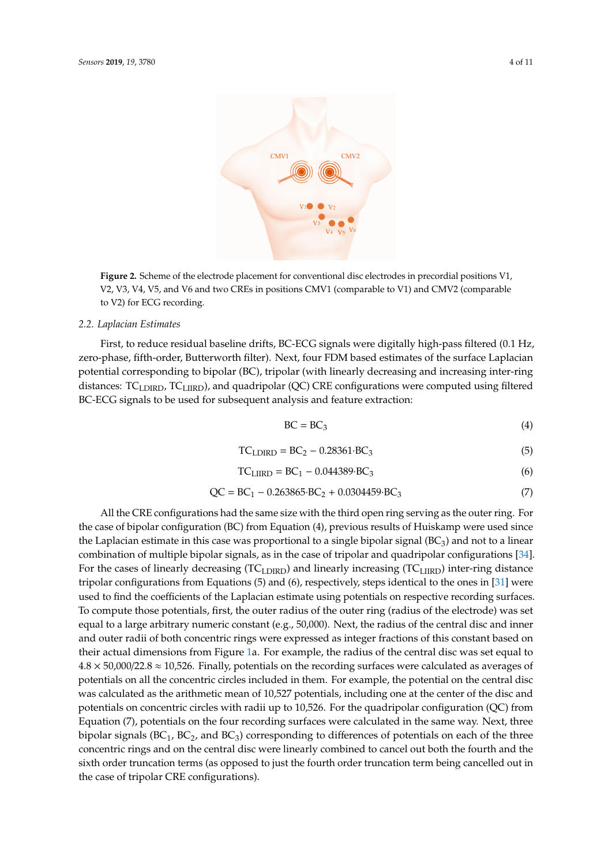<span id="page-3-0"></span>

**Figure 2.** Scheme of the electrode placement for conventional disc electrodes in precordial positions **Figure 2.** Scheme of the electrode placement for conventional disc electrodes in precordial positions V1, V2, V3, V4, V5, and V6 and two CREs in positions CMV1 (comparable to V1) and CMV2 (comparable *2.2. Laplacian Estimates*  to V2) for ECG recording.

#### $\tt{t}$ mates $\tt{t}$ s were digitally high-pass filtered (0.1 Hz,  $\tt{t}$ *2.2. Laplacian Estimates*

First, to reduce residual baseline drifts, BC-ECG signals were digitally high-pass filtered (0.1 Hz, zero-phase, fifth-order, Butterworth filter). Next, four FDM based estimates of the surface Laplacian potential corresponding to bipolar (BC), tripolar (with linearly decreasing and increasing inter-ring distances:  $TC_{LDIRD}$ ,  $TC_{LURD}$ , and quadripolar (QC) CRE configurations were computed using filtered BC-ECG signals to be used for subsequent analysis and feature extraction:

$$
BC = BC_3 \tag{4}
$$

$$
TCLDIRD = BC2 - 0.28361·BC3
$$
\n
$$
(5)
$$

$$
TC_{LIIRD} = BC_1 - 0.044389 \cdot BC_3 \tag{6}
$$

$$
QC = BC1 - 0.263865 \cdot BC2 + 0.0304459 \cdot BC3
$$
 (7)

All the CRE configurations had the same size with the third open ring serving as the outer ring. For the case of bipolar configuration (BC) from Equation (4), previous results of Huiskamp were used since  $r = \frac{1}{2}$ the Laplacian estimate in this case was proportional to a single bipolar signal (BC<sub>3</sub>) and not to a linear combination of multiple bipolar signals, as in the case of tripolar and quadripolar configurations [\[34\]](#page-9-14). For the cases of linearly decreasing (TC<sub>LDIRD</sub>) and linearly increasing (TC<sub>LIIRD</sub>) inter-ring distance the potential on the central disc was calculated as the arithmetic mean of 10,527 potentials, including tripolar configurations from Equations (5) and (6), respectively, steps identical to the ones in [\[31\]](#page-9-11) were used to find the coefficients of the Laplacian estimate using potentials on respective recording surfaces. To compute those potentials, first, the outer radius of the outer ring (radius of the electrode) was set  $\frac{d}{dx}$  of  $\frac{d}{dx}$  on  $\frac{d}{dx}$  on  $\frac{d}{dx}$  and  $\frac{d}{dx}$  and  $\frac{d}{dx}$  and  $\frac{d}{dx}$  were linearly integrated by  $\frac{d}{dx}$ equal to a large arbitrary numeric constant (e.g., 50,000). Next, the radius of the central disc and inner and outer radii of both concentric rings were expressed as integer fractions of this constant based on their actual dimensions from Figure [1a](#page-2-0). For example, the radius of the central disc was set equal to  $4.8 \times 50,000/22.8 \approx 10,526$ . Finally, potentials on the recording surfaces were calculated as averages of potentials on all the concentric circles included in them. For example, the potential on the central disc was calculated as the arithmetic mean of 10,527 potentials, including one at the center of the disc and potentials on concentric circles with radii up to 10,526. For the quadripolar configuration (QC) from Equation (7), potentials on the four recording surfaces were calculated in the same way. Next, three bipolar signals ( $BC_1$ ,  $BC_2$ , and  $BC_3$ ) corresponding to differences of potentials on each of the three concentric rings and on the central disc were linearly combined to cancel out both the fourth and the sixth order truncation terms (as opposed to just the fourth order truncation term being cancelled out in the case of tripolar CRE configurations).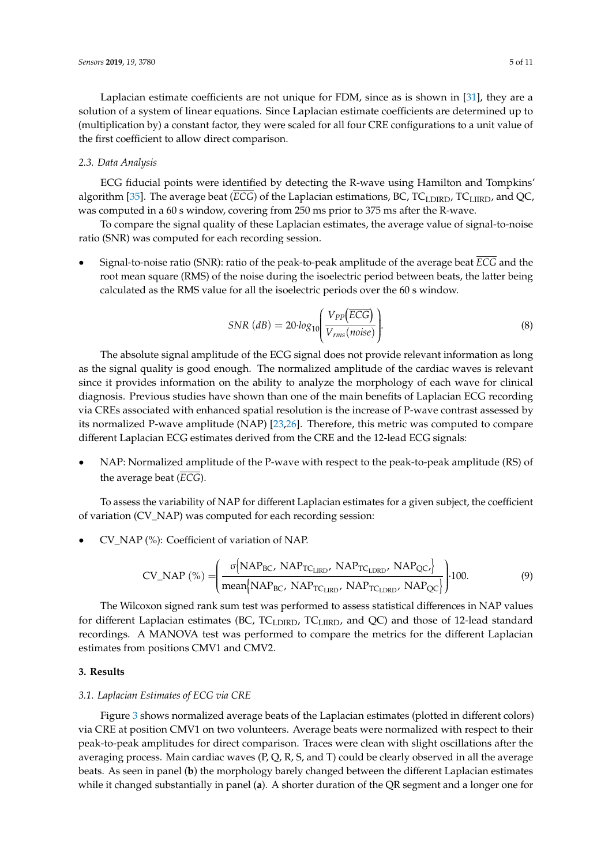Laplacian estimate coefficients are not unique for FDM, since as is shown in [\[31\]](#page-9-11), they are a solution of a system of linear equations. Since Laplacian estimate coefficients are determined up to (multiplication by) a constant factor, they were scaled for all four CRE configurations to a unit value of the first coefficient to allow direct comparison.

#### *2.3. Data Analysis*

ECG fiducial points were identified by detecting the R-wave using Hamilton and Tompkins' algorithm [\[35\]](#page-9-15). The average beat (*ECG*) of the Laplacian estimations, BC, TC<sub>LDIRD</sub>, TC<sub>LIIRD</sub>, and QC, was computed in a 60 s window, covering from 250 ms prior to 375 ms after the R-wave.

To compare the signal quality of these Laplacian estimates, the average value of signal-to-noise ratio (SNR) was computed for each recording session.

• Signal-to-noise ratio (SNR): ratio of the peak-to-peak amplitude of the average beat *ECG* and the root mean square (RMS) of the noise during the isoelectric period between beats, the latter being calculated as the RMS value for all the isoelectric periods over the 60 s window.

$$
SNR (dB) = 20 \cdot log_{10} \left( \frac{V_{PP}(\overline{ECG})}{V_{rms}(noise)} \right).
$$
\n(8)

The absolute signal amplitude of the ECG signal does not provide relevant information as long as the signal quality is good enough. The normalized amplitude of the cardiac waves is relevant since it provides information on the ability to analyze the morphology of each wave for clinical diagnosis. Previous studies have shown than one of the main benefits of Laplacian ECG recording via CREs associated with enhanced spatial resolution is the increase of P-wave contrast assessed by its normalized P-wave amplitude (NAP) [\[23,](#page-9-4)[26\]](#page-9-6). Therefore, this metric was computed to compare different Laplacian ECG estimates derived from the CRE and the 12-lead ECG signals:

• NAP: Normalized amplitude of the P-wave with respect to the peak-to-peak amplitude (RS) of the average beat (*ECG*).

To assess the variability of NAP for different Laplacian estimates for a given subject, the coefficient of variation (CV\_NAP) was computed for each recording session:

• CV\_NAP (%): Coefficient of variation of NAP.

$$
CV\_NAP\ (\%) = \left(\frac{\sigma \{NAP_{BC}, NAP_{TC_{LRD}}, NAP_{TC_{LDRD}}, NAP_{QC}\}}{\text{mean}\{NAP_{BC}, NAP_{TC_{LRD}}, NAP_{TC_{LDRD}}, NAP_{QC}\}}\right) \cdot 100. \tag{9}
$$

The Wilcoxon signed rank sum test was performed to assess statistical differences in NAP values for different Laplacian estimates (BC,  $TC_{LDIRD}$ ,  $TC_{LIRD}$ , and QC) and those of 12-lead standard recordings. A MANOVA test was performed to compare the metrics for the different Laplacian estimates from positions CMV1 and CMV2.

#### **3. Results**

#### *3.1. Laplacian Estimates of ECG via CRE*

Figure [3](#page-5-0) shows normalized average beats of the Laplacian estimates (plotted in different colors) via CRE at position CMV1 on two volunteers. Average beats were normalized with respect to their peak-to-peak amplitudes for direct comparison. Traces were clean with slight oscillations after the averaging process. Main cardiac waves (P, Q, R, S, and T) could be clearly observed in all the average beats. As seen in panel (**b**) the morphology barely changed between the different Laplacian estimates while it changed substantially in panel (**a**). A shorter duration of the QR segment and a longer one for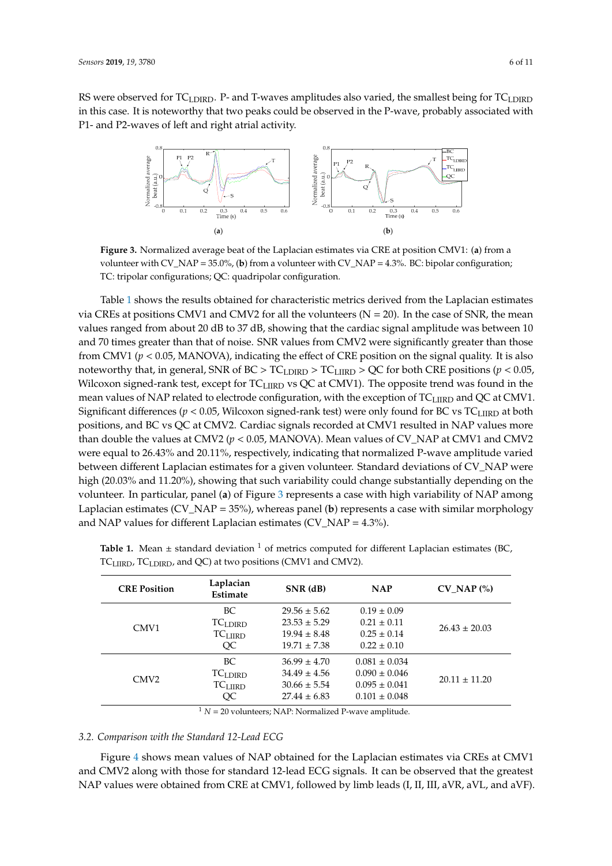<span id="page-5-0"></span>RS were observed for TC<sub>LDIRD</sub>. P- and T-waves amplitudes also varied, the smallest being for TC<sub>LDIRD</sub> in this case. It is noteworthy that two peaks could be observed in the P-wave, probably associated with P1- and P2-waves of left and right atrial activity.



**Figure 3.** Normalized average beat of the Laplacian estimates via CRE at position CMV1: (**a**) from a **Figure 3.** Normalized average beat of the Laplacian estimates via CRE at position CMV1: (**a**) from a volunteer with CV\_NAP = 35.0%, (**b**) from a volunteer with CV\_NAP = 4.3%. BC: bipolar volunteer with CV\_NAP = 35.0%, (**b**) from a volunteer with CV\_NAP = 4.3%. BC: bipolar configuration; TC: tripolar configurations; QC: quadripolar configuration.

Table [1](#page-5-1) shows the results obtained for characteristic metrics derived from the Laplacian estimates the mean values  $\mathbb{R}^{n}$  dB to  $\mathbb{R}^{n}$  and the cardiac signal and the cardiac signal amplitude was  $\mathbb{R}^{n}$  and  $\mathbb{R}^{n}$  and  $\mathbb{R}^{n}$  amplitude was  $\mathbb{R}^{n}$  and  $\mathbb{R}^{n}$  amplitude was  $\mathbb{R}^{n}$  and via CREs at positions CMV1 and CMV2 for all the volunteers (N = 20). In the case of SNR, the mean values ranged from about 20 dB to 37 dB, showing that the cardiac signal amplitude was between 10 and 70 times greater than that of noise. SNR values from CMV2 were significantly greater than those positions (*p* < 0.05, Wilcoxon signed-rank test, except for TCLIIRD vs QC at CMV1). The opposite trend from CMV1 (*p* < 0.05, MANOVA), indicating the effect of CRE position on the signal quality. It is also noteworthy that, in general, SNR of BC > TC<sub>LDIRD</sub> > TC<sub>LIIRD</sub> > QC for both CRE positions (*p* < 0.05, Wilcoxon signed-rank test, except for TC<sub>LIIRD</sub> vs QC at CMV1). The opposite trend was found in the  $\sum_{i=1}^{\infty}$   $\sum_{i=1}^{\infty}$   $\sum_{i=1}^{\infty}$   $\sum_{i=1}^{\infty}$   $\sum_{i=1}^{\infty}$   $\sum_{i=1}^{\infty}$ . Mean  $\sum_{i=1}^{\infty}$ mean values of NAP related to electrode configuration, with the exception of TC $_{\rm LIRD}$  and QC at CMV1. Significant differences (*p* < 0.05, Wilcoxon signed-rank test) were only found for BC vs TC $_{\rm LIRD}$  at both positions, and BC vs QC at CMV2. Cardiac signals recorded at CMV1 resulted in NAP values more substantially depending on the volunteer. In particular, panel (**a**) of Figure 3 represents a case with than double the values at CMV2 (*p* < 0.05, MANOVA). Mean values of CV\_NAP at CMV1 and CMV2 were equal to 26.43% and 20.11%, respectively, indicating that normalized P-wave amplitude varied between different Laplacian estimates for a given volunteer. Standard deviations of CV\_NAP were high (20.03% and 11.20%), showing that such variability could change substantially depending on the volunteer. In particular, panel (**a**) of Figure [3](#page-5-0) represents a case with high variability of NAP among and NAP values for different Laplacian estimates ( $CV\_NAP = 4.3\%$ ). Laplacian estimates (CV\_NAP = 35%), whereas panel (**b**) represents a case with similar morphology

| <b>CRE Position</b> | Laplacian<br>Estimate | $SNR$ (dB)       | <b>NAP</b>        | $CV$ NAP $(\% )$  |  |  |  |
|---------------------|-----------------------|------------------|-------------------|-------------------|--|--|--|
|                     | BC.                   | $29.56 \pm 5.62$ | $0.19 \pm 0.09$   |                   |  |  |  |
| CMV <sub>1</sub>    | TC <sub>LDIRD</sub>   | $23.53 \pm 5.29$ | $0.21 \pm 0.11$   | $26.43 \pm 20.03$ |  |  |  |
|                     | TC <sub>LIIRD</sub>   | $19.94 \pm 8.48$ | $0.25 \pm 0.14$   |                   |  |  |  |
|                     | OC                    | $19.71 \pm 7.38$ | $0.22 \pm 0.10$   |                   |  |  |  |
| CMV <sub>2</sub>    | BC.                   | $36.99 \pm 4.70$ | $0.081 \pm 0.034$ |                   |  |  |  |
|                     | TC <sub>LDIRD</sub>   | $34.49 \pm 4.56$ | $0.090 \pm 0.046$ | $20.11 \pm 11.20$ |  |  |  |
|                     | $TC$ LIIRD            | $30.66 \pm 5.54$ | $0.095 \pm 0.041$ |                   |  |  |  |
|                     | OC                    | $27.44 \pm 6.83$ | $0.101 \pm 0.048$ |                   |  |  |  |

<span id="page-5-1"></span> $\mathcal{A}$  $TC_{\rm LIIRD}$ ,  $TC_{\rm LDIRD}$ , and QC) at two positions (CMV1 and CMV2). **Table 1.** Mean  $\pm$  standard deviation <sup>1</sup> of metrics computed for different Laplacian estimates (BC,

 $1 N = 20$  volunteers; NAP: Normalized P-wave amplitude.

#### *3.2. Comparison with the Standard 12-Lead ECG*

Figure [4](#page-6-0) shows mean values of NAP obtained for the Laplacian estimates via CREs at CMV1 and CMV2 along with those for standard 12-lead ECG signals. It can be observed that the greatest NAP values were obtained from CRE at CMV1, followed by limb leads (I, II, III, aVR, aVL, and aVF).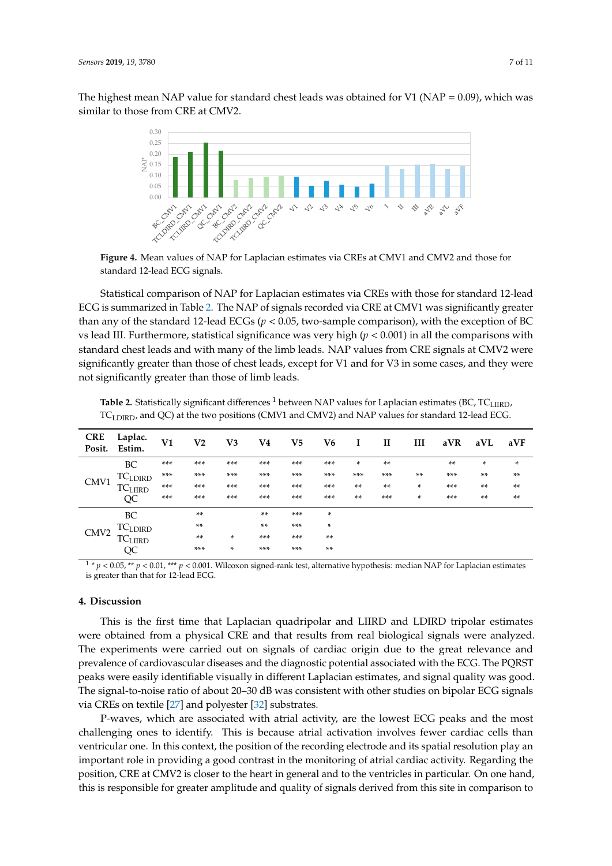<span id="page-6-0"></span>The highest mean NAP value for standard chest leads was obtained for V1 (NAP =  $0.09$ ), which was similar to those from CRE at CMV2.



**Figure 4.** Mean values of NAP for Laplacian estimates via CREs at CMV1 and CMV2 and those for **Figure 4.** Mean values of NAP for Laplacian estimates via CREs at CMV1 and CMV2 and those for standard 12-lead ECG signals. standard 12-lead ECG signals.

Statistical comparison of NAP for Laplacian estimates via CREs with those for standard 12-lead Statistical comparison of NAP for Laplacian estimates via CREs with those for standard 12-lead ECG is summarized in Table [2.](#page-6-1) The NAP of signals recorded via CRE at CMV1 was significantly greater than any of the standard 12-lead ECGs ( $p < 0.05$ , two-sample comparison), with the exception of BC with standard chest leads and with leads and with leads. NAP values from  $\sim$  CRE signals at CMV22. vs lead III. Furthermore, statistical significance was very high ( $p < 0.001$ ) in all the comparisons with standard chest leads and with many of the limb leads. NAP values from CRE signals at CMV2 were significantly greater than those of chest leads, except for V1 and for V3 in some cases, and they were not significantly greater than those of limb leads.

| $1 \leq \frac{1}{1}$ $\frac{1}{1}$ $\frac{1}{1}$ and $\frac{1}{2} \leq \frac{1}{2}$ are the positions (CMVI and CMVI) and TVII values for standard 12 idea below |                   |     |       |        |       |       |        |       |       |        |       |       |        |
|------------------------------------------------------------------------------------------------------------------------------------------------------------------|-------------------|-----|-------|--------|-------|-------|--------|-------|-------|--------|-------|-------|--------|
| <b>CRE</b><br>Posit.                                                                                                                                             | Laplac.<br>Estim. | V1  | V2    | V3     | V4    | $V_5$ | V6     | I     | H     | Ш      | aVR   | aVL   | aVF    |
| CMV <sub>1</sub>                                                                                                                                                 | BC                | *** | ***   | ***    | ***   | $***$ | ***    | *     | **    |        | $***$ | *     | $\ast$ |
|                                                                                                                                                                  | <b>TCLDIRD</b>    | *** | ***   | ***    | ***   | ***   | ***    | $***$ | $***$ | **     | ***   | **    | $***$  |
|                                                                                                                                                                  | <b>TCLIIRD</b>    | *** | ***   | ***    | ***   | $***$ | ***    | $***$ | $***$ | $\ast$ | ***   | $***$ | $***$  |
|                                                                                                                                                                  | QC                | *** | ***   | ***    | ***   | $***$ | ***    | $***$ | $***$ | $\ast$ | ***   | $***$ | $***$  |
| CMV <sub>2</sub>                                                                                                                                                 | BC                |     | $***$ |        | $***$ | $***$ | $\ast$ |       |       |        |       |       |        |
|                                                                                                                                                                  | <b>TCLDIRD</b>    |     | $***$ |        | $***$ | ***   | *      |       |       |        |       |       |        |
|                                                                                                                                                                  | <b>TCLIIRD</b>    |     | $***$ | $\ast$ | ***   | ***   | $***$  |       |       |        |       |       |        |

<span id="page-6-1"></span>**htistic Table 2.** Statistically significant differences <sup>1</sup> between NAP values for Laplacian estimates (BC, TC<sub>LIIRD</sub>, TC<sub>LDIRD</sub>, and QC) at the two positions (CMV1 and CMV2) and NAP values for standard 12-lead ECG.

obtained from a physical CRE and that results from real biological signals were analyzed. The <sup>1</sup> \*  $p$  < 0.05, \*\*  $p$  < 0.01, \*\*\*  $p$  < 0.001. Wilcoxon signed-rank test, alternative hypothesis: median NAP for Laplacian estimates is greater than that for 12-lead ECG. The PQRST peaks with the PQRST peaks in the PQRST peaks in the PQRST peaks in the PQRST peaks in the PQRST peaks in the PQRST peaks in the PQRST peaks in the PQRST peaks in the PQRST p

QC \*\*\* \* \*\*\* \*\*\* \*\*

#### $\mathbf n$  and polyester  $\mathbf n$ **4. Discussion**

P-waves, which are associated with atrial activity, are the lowest ECG peaks and the most This is the first time that Laplacian quadripolar and LIIRD and LDIRD tripolar estimates were obtained from a physical CRE and that results from real biological signals were analyzed. ante were corried out on signals of cordiac origin due to the great regarding The experiments were carried out on signals of cardiac origin due to the great relevance and  $\frac{1}{2}$ prevalence of cardiovascular diseases and the diagnostic potential associated with the ECG. The PQRST peaks were easily identifiable visually in different Laplacian estimates, and signal quality was good. The signal-to-noise ratio of about 20–30 dB was consistent with other studies on bipolar ECG signals via CREs on textile [\[27\]](#page-9-7) and polyester [\[32\]](#page-9-12) substrates.

P-waves, which are associated with atrial activity, are the lowest ECG peaks and the most challenging ones to identify. This is because atrial activation involves fewer cardiac cells than ventricular one. In this context, the position of the recording electrode and its spatial resolution play an important role in providing a good contrast in the monitoring of atrial cardiac activity. Regarding the position, CRE at CMV2 is closer to the heart in general and to the ventricles in particular. On one hand, this is responsible for greater amplitude and quality of signals derived from this site in comparison to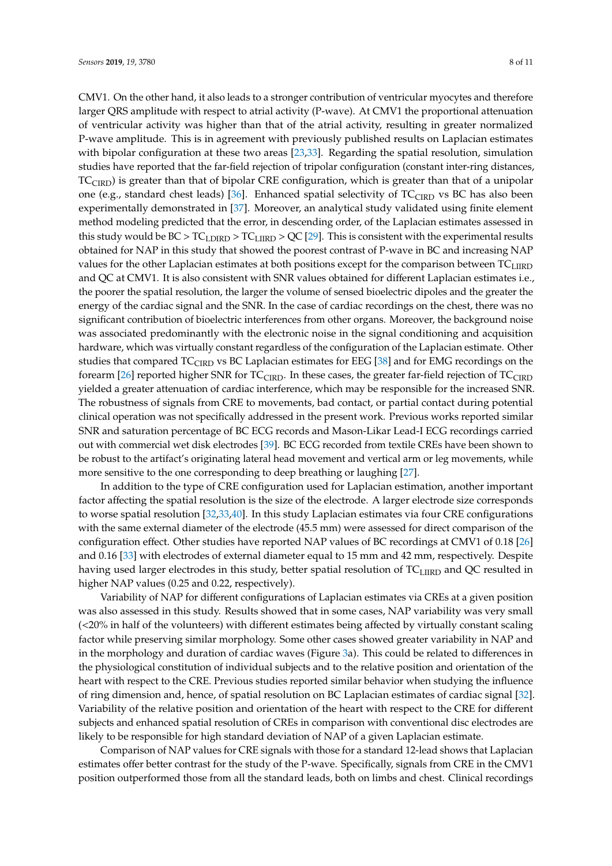CMV1. On the other hand, it also leads to a stronger contribution of ventricular myocytes and therefore larger QRS amplitude with respect to atrial activity (P-wave). At CMV1 the proportional attenuation of ventricular activity was higher than that of the atrial activity, resulting in greater normalized P-wave amplitude. This is in agreement with previously published results on Laplacian estimates with bipolar configuration at these two areas [\[23](#page-9-4)[,33\]](#page-9-13). Regarding the spatial resolution, simulation studies have reported that the far-field rejection of tripolar configuration (constant inter-ring distances,  $TC<sub>CIRD</sub>$ ) is greater than that of bipolar CRE configuration, which is greater than that of a unipolar one (e.g., standard chest leads) [\[36\]](#page-9-16). Enhanced spatial selectivity of  $TC_{CIRD}$  vs BC has also been experimentally demonstrated in [\[37\]](#page-9-17). Moreover, an analytical study validated using finite element method modeling predicted that the error, in descending order, of the Laplacian estimates assessed in this study would be  $BC > TC_{LDIRD} > TC_{LIIRD} > QC$  [\[29\]](#page-9-9). This is consistent with the experimental results obtained for NAP in this study that showed the poorest contrast of P-wave in BC and increasing NAP values for the other Laplacian estimates at both positions except for the comparison between  $TC_{LIIRD}$ and QC at CMV1. It is also consistent with SNR values obtained for different Laplacian estimates i.e., the poorer the spatial resolution, the larger the volume of sensed bioelectric dipoles and the greater the energy of the cardiac signal and the SNR. In the case of cardiac recordings on the chest, there was no significant contribution of bioelectric interferences from other organs. Moreover, the background noise was associated predominantly with the electronic noise in the signal conditioning and acquisition hardware, which was virtually constant regardless of the configuration of the Laplacian estimate. Other studies that compared TC<sub>CIRD</sub> vs BC Laplacian estimates for EEG [\[38\]](#page-10-0) and for EMG recordings on the forearm [\[26\]](#page-9-6) reported higher SNR for  $TC_{CIRD}$ . In these cases, the greater far-field rejection of  $TC_{CIRD}$ yielded a greater attenuation of cardiac interference, which may be responsible for the increased SNR. The robustness of signals from CRE to movements, bad contact, or partial contact during potential clinical operation was not specifically addressed in the present work. Previous works reported similar SNR and saturation percentage of BC ECG records and Mason-Likar Lead-I ECG recordings carried out with commercial wet disk electrodes [\[39\]](#page-10-1). BC ECG recorded from textile CREs have been shown to be robust to the artifact's originating lateral head movement and vertical arm or leg movements, while more sensitive to the one corresponding to deep breathing or laughing [\[27\]](#page-9-7).

In addition to the type of CRE configuration used for Laplacian estimation, another important factor affecting the spatial resolution is the size of the electrode. A larger electrode size corresponds to worse spatial resolution [\[32](#page-9-12)[,33](#page-9-13)[,40\]](#page-10-2). In this study Laplacian estimates via four CRE configurations with the same external diameter of the electrode (45.5 mm) were assessed for direct comparison of the configuration effect. Other studies have reported NAP values of BC recordings at CMV1 of 0.18 [\[26\]](#page-9-6) and 0.16 [\[33\]](#page-9-13) with electrodes of external diameter equal to 15 mm and 42 mm, respectively. Despite having used larger electrodes in this study, better spatial resolution of TCLIIRD and QC resulted in higher NAP values (0.25 and 0.22, respectively).

Variability of NAP for different configurations of Laplacian estimates via CREs at a given position was also assessed in this study. Results showed that in some cases, NAP variability was very small (<20% in half of the volunteers) with different estimates being affected by virtually constant scaling factor while preserving similar morphology. Some other cases showed greater variability in NAP and in the morphology and duration of cardiac waves (Figure [3a](#page-5-0)). This could be related to differences in the physiological constitution of individual subjects and to the relative position and orientation of the heart with respect to the CRE. Previous studies reported similar behavior when studying the influence of ring dimension and, hence, of spatial resolution on BC Laplacian estimates of cardiac signal [\[32\]](#page-9-12). Variability of the relative position and orientation of the heart with respect to the CRE for different subjects and enhanced spatial resolution of CREs in comparison with conventional disc electrodes are likely to be responsible for high standard deviation of NAP of a given Laplacian estimate.

Comparison of NAP values for CRE signals with those for a standard 12-lead shows that Laplacian estimates offer better contrast for the study of the P-wave. Specifically, signals from CRE in the CMV1 position outperformed those from all the standard leads, both on limbs and chest. Clinical recordings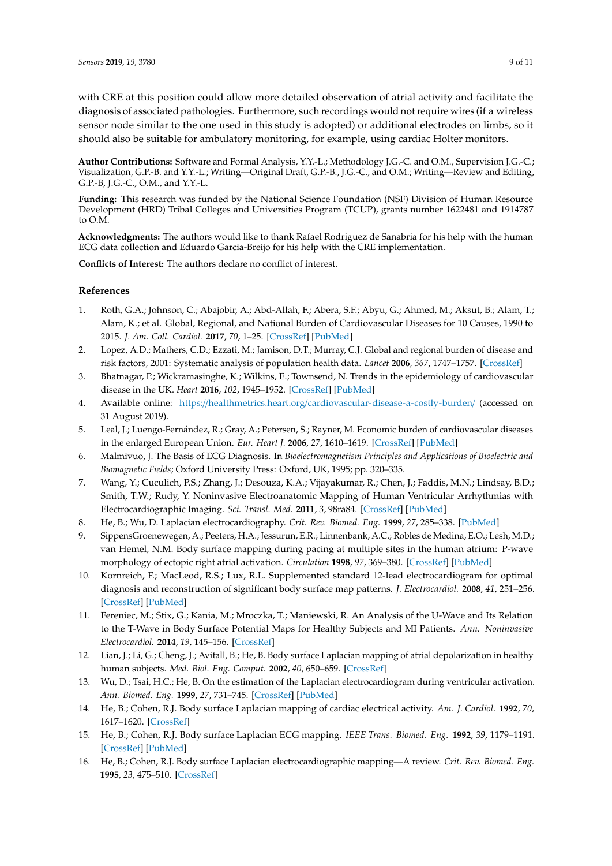with CRE at this position could allow more detailed observation of atrial activity and facilitate the diagnosis of associated pathologies. Furthermore, such recordings would not require wires (if a wireless sensor node similar to the one used in this study is adopted) or additional electrodes on limbs, so it should also be suitable for ambulatory monitoring, for example, using cardiac Holter monitors.

**Author Contributions:** Software and Formal Analysis, Y.Y.-L.; Methodology J.G.-C. and O.M., Supervision J.G.-C.; Visualization, G.P.-B. and Y.Y.-L.; Writing—Original Draft, G.P.-B., J.G.-C., and O.M.; Writing—Review and Editing, G.P.-B, J.G.-C., O.M., and Y.Y.-L.

**Funding:** This research was funded by the National Science Foundation (NSF) Division of Human Resource Development (HRD) Tribal Colleges and Universities Program (TCUP), grants number 1622481 and 1914787 to O.M.

**Acknowledgments:** The authors would like to thank Rafael Rodriguez de Sanabria for his help with the human ECG data collection and Eduardo Garcia-Breijo for his help with the CRE implementation.

**Conflicts of Interest:** The authors declare no conflict of interest.

### **References**

- <span id="page-8-0"></span>1. Roth, G.A.; Johnson, C.; Abajobir, A.; Abd-Allah, F.; Abera, S.F.; Abyu, G.; Ahmed, M.; Aksut, B.; Alam, T.; Alam, K.; et al. Global, Regional, and National Burden of Cardiovascular Diseases for 10 Causes, 1990 to 2015. *J. Am. Coll. Cardiol.* **2017**, *70*, 1–25. [\[CrossRef\]](http://dx.doi.org/10.1016/j.jacc.2017.04.052) [\[PubMed\]](http://www.ncbi.nlm.nih.gov/pubmed/28527533)
- <span id="page-8-1"></span>2. Lopez, A.D.; Mathers, C.D.; Ezzati, M.; Jamison, D.T.; Murray, C.J. Global and regional burden of disease and risk factors, 2001: Systematic analysis of population health data. *Lancet* **2006**, *367*, 1747–1757. [\[CrossRef\]](http://dx.doi.org/10.1016/S0140-6736(06)68770-9)
- <span id="page-8-2"></span>3. Bhatnagar, P.; Wickramasinghe, K.; Wilkins, E.; Townsend, N. Trends in the epidemiology of cardiovascular disease in the UK. *Heart* **2016**, *102*, 1945–1952. [\[CrossRef\]](http://dx.doi.org/10.1136/heartjnl-2016-309573) [\[PubMed\]](http://www.ncbi.nlm.nih.gov/pubmed/27550425)
- <span id="page-8-3"></span>4. Available online: https://healthmetrics.heart.org/[cardiovascular-disease-a-costly-burden](https://healthmetrics.heart.org/cardiovascular-disease-a-costly-burden/)/ (accessed on 31 August 2019).
- <span id="page-8-4"></span>5. Leal, J.; Luengo-Fernández, R.; Gray, A.; Petersen, S.; Rayner, M. Economic burden of cardiovascular diseases in the enlarged European Union. *Eur. Heart J.* **2006**, *27*, 1610–1619. [\[CrossRef\]](http://dx.doi.org/10.1093/eurheartj/ehi733) [\[PubMed\]](http://www.ncbi.nlm.nih.gov/pubmed/16495286)
- <span id="page-8-5"></span>6. Malmivuo, J. The Basis of ECG Diagnosis. In *Bioelectromagnetism Principles and Applications of Bioelectric and Biomagnetic Fields*; Oxford University Press: Oxford, UK, 1995; pp. 320–335.
- <span id="page-8-6"></span>7. Wang, Y.; Cuculich, P.S.; Zhang, J.; Desouza, K.A.; Vijayakumar, R.; Chen, J.; Faddis, M.N.; Lindsay, B.D.; Smith, T.W.; Rudy, Y. Noninvasive Electroanatomic Mapping of Human Ventricular Arrhythmias with Electrocardiographic Imaging. *Sci. Transl. Med.* **2011**, *3*, 98ra84. [\[CrossRef\]](http://dx.doi.org/10.1126/scitranslmed.3002152) [\[PubMed\]](http://www.ncbi.nlm.nih.gov/pubmed/21885406)
- <span id="page-8-7"></span>8. He, B.; Wu, D. Laplacian electrocardiography. *Crit. Rev. Biomed. Eng.* **1999**, *27*, 285–338. [\[PubMed\]](http://www.ncbi.nlm.nih.gov/pubmed/10864282)
- <span id="page-8-8"></span>9. SippensGroenewegen, A.; Peeters, H.A.; Jessurun, E.R.; Linnenbank, A.C.; Robles de Medina, E.O.; Lesh, M.D.; van Hemel, N.M. Body surface mapping during pacing at multiple sites in the human atrium: P-wave morphology of ectopic right atrial activation. *Circulation* **1998**, *97*, 369–380. [\[CrossRef\]](http://dx.doi.org/10.1161/01.CIR.97.4.369) [\[PubMed\]](http://www.ncbi.nlm.nih.gov/pubmed/9468211)
- 10. Kornreich, F.; MacLeod, R.S.; Lux, R.L. Supplemented standard 12-lead electrocardiogram for optimal diagnosis and reconstruction of significant body surface map patterns. *J. Electrocardiol.* **2008**, *41*, 251–256. [\[CrossRef\]](http://dx.doi.org/10.1016/j.jelectrocard.2008.02.011) [\[PubMed\]](http://www.ncbi.nlm.nih.gov/pubmed/18433616)
- <span id="page-8-9"></span>11. Fereniec, M.; Stix, G.; Kania, M.; Mroczka, T.; Maniewski, R. An Analysis of the U-Wave and Its Relation to the T-Wave in Body Surface Potential Maps for Healthy Subjects and MI Patients. *Ann. Noninvasive Electrocardiol.* **2014**, *19*, 145–156. [\[CrossRef\]](http://dx.doi.org/10.1111/anec.12110)
- <span id="page-8-10"></span>12. Lian, J.; Li, G.; Cheng, J.; Avitall, B.; He, B. Body surface Laplacian mapping of atrial depolarization in healthy human subjects. *Med. Biol. Eng. Comput.* **2002**, *40*, 650–659. [\[CrossRef\]](http://dx.doi.org/10.1007/BF02345304)
- <span id="page-8-11"></span>13. Wu, D.; Tsai, H.C.; He, B. On the estimation of the Laplacian electrocardiogram during ventricular activation. *Ann. Biomed. Eng.* **1999**, *27*, 731–745. [\[CrossRef\]](http://dx.doi.org/10.1114/1.224) [\[PubMed\]](http://www.ncbi.nlm.nih.gov/pubmed/10625146)
- <span id="page-8-12"></span>14. He, B.; Cohen, R.J. Body surface Laplacian mapping of cardiac electrical activity. *Am. J. Cardiol.* **1992**, *70*, 1617–1620. [\[CrossRef\]](http://dx.doi.org/10.1016/0002-9149(92)90471-A)
- <span id="page-8-13"></span>15. He, B.; Cohen, R.J. Body surface Laplacian ECG mapping. *IEEE Trans. Biomed. Eng.* **1992**, *39*, 1179–1191. [\[CrossRef\]](http://dx.doi.org/10.1109/10.168684) [\[PubMed\]](http://www.ncbi.nlm.nih.gov/pubmed/1487281)
- 16. He, B.; Cohen, R.J. Body surface Laplacian electrocardiographic mapping—A review. *Crit. Rev. Biomed. Eng.* **1995**, *23*, 475–510. [\[CrossRef\]](http://dx.doi.org/10.1615/CritRevBiomedEng.v23.i5-6.30)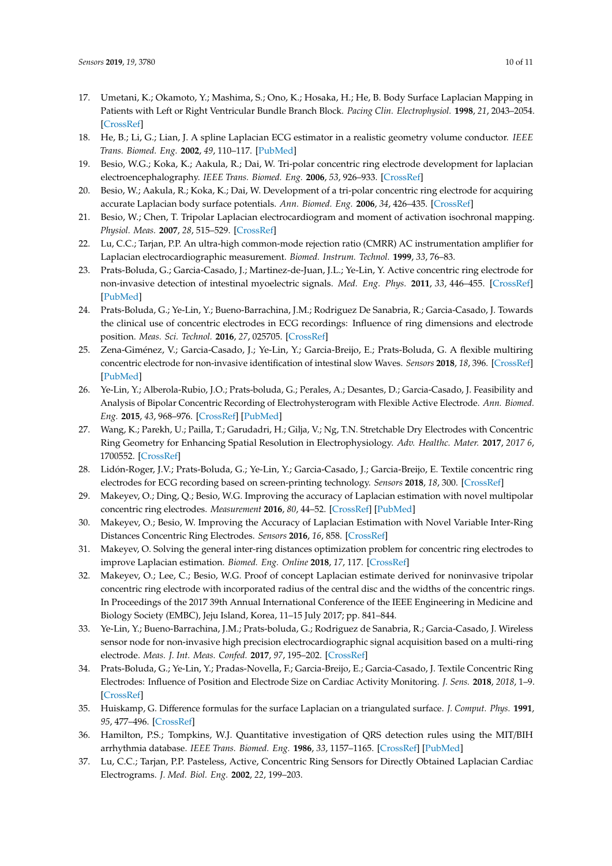- 17. Umetani, K.; Okamoto, Y.; Mashima, S.; Ono, K.; Hosaka, H.; He, B. Body Surface Laplacian Mapping in Patients with Left or Right Ventricular Bundle Branch Block. *Pacing Clin. Electrophysiol.* **1998**, *21*, 2043–2054. [\[CrossRef\]](http://dx.doi.org/10.1111/j.1540-8159.1998.tb01122.x)
- <span id="page-9-0"></span>18. He, B.; Li, G.; Lian, J. A spline Laplacian ECG estimator in a realistic geometry volume conductor. *IEEE Trans. Biomed. Eng.* **2002**, *49*, 110–117. [\[PubMed\]](http://www.ncbi.nlm.nih.gov/pubmed/12066878)
- <span id="page-9-1"></span>19. Besio, W.G.; Koka, K.; Aakula, R.; Dai, W. Tri-polar concentric ring electrode development for laplacian electroencephalography. *IEEE Trans. Biomed. Eng.* **2006**, *53*, 926–933. [\[CrossRef\]](http://dx.doi.org/10.1109/TBME.2005.863887)
- <span id="page-9-2"></span>20. Besio, W.; Aakula, R.; Koka, K.; Dai, W. Development of a tri-polar concentric ring electrode for acquiring accurate Laplacian body surface potentials. *Ann. Biomed. Eng.* **2006**, *34*, 426–435. [\[CrossRef\]](http://dx.doi.org/10.1007/s10439-005-9054-8)
- 21. Besio, W.; Chen, T. Tripolar Laplacian electrocardiogram and moment of activation isochronal mapping. *Physiol. Meas.* **2007**, *28*, 515–529. [\[CrossRef\]](http://dx.doi.org/10.1088/0967-3334/28/5/006)
- <span id="page-9-3"></span>22. Lu, C.C.; Tarjan, P.P. An ultra-high common-mode rejection ratio (CMRR) AC instrumentation amplifier for Laplacian electrocardiographic measurement. *Biomed. Instrum. Technol.* **1999**, *33*, 76–83.
- <span id="page-9-4"></span>23. Prats-Boluda, G.; Garcia-Casado, J.; Martinez-de-Juan, J.L.; Ye-Lin, Y. Active concentric ring electrode for non-invasive detection of intestinal myoelectric signals. *Med. Eng. Phys.* **2011**, *33*, 446–455. [\[CrossRef\]](http://dx.doi.org/10.1016/j.medengphy.2010.11.009) [\[PubMed\]](http://www.ncbi.nlm.nih.gov/pubmed/21163682)
- 24. Prats-Boluda, G.; Ye-Lin, Y.; Bueno-Barrachina, J.M.; Rodriguez De Sanabria, R.; Garcia-Casado, J. Towards the clinical use of concentric electrodes in ECG recordings: Influence of ring dimensions and electrode position. *Meas. Sci. Technol.* **2016**, *27*, 025705. [\[CrossRef\]](http://dx.doi.org/10.1088/0957-0233/27/2/025705)
- <span id="page-9-5"></span>25. Zena-Giménez, V.; Garcia-Casado, J.; Ye-Lin, Y.; Garcia-Breijo, E.; Prats-Boluda, G. A flexible multiring concentric electrode for non-invasive identification of intestinal slow Waves. *Sensors* **2018**, *18*, 396. [\[CrossRef\]](http://dx.doi.org/10.3390/s18020396) [\[PubMed\]](http://www.ncbi.nlm.nih.gov/pubmed/29385719)
- <span id="page-9-6"></span>26. Ye-Lin, Y.; Alberola-Rubio, J.O.; Prats-boluda, G.; Perales, A.; Desantes, D.; Garcia-Casado, J. Feasibility and Analysis of Bipolar Concentric Recording of Electrohysterogram with Flexible Active Electrode. *Ann. Biomed. Eng.* **2015**, *43*, 968–976. [\[CrossRef\]](http://dx.doi.org/10.1007/s10439-014-1130-5) [\[PubMed\]](http://www.ncbi.nlm.nih.gov/pubmed/25274161)
- <span id="page-9-7"></span>27. Wang, K.; Parekh, U.; Pailla, T.; Garudadri, H.; Gilja, V.; Ng, T.N. Stretchable Dry Electrodes with Concentric Ring Geometry for Enhancing Spatial Resolution in Electrophysiology. *Adv. Healthc. Mater.* **2017**, *2017 6*, 1700552. [\[CrossRef\]](http://dx.doi.org/10.1002/adhm.201700552)
- <span id="page-9-8"></span>28. Lidón-Roger, J.V.; Prats-Boluda, G.; Ye-Lin, Y.; Garcia-Casado, J.; Garcia-Breijo, E. Textile concentric ring electrodes for ECG recording based on screen-printing technology. *Sensors* **2018**, *18*, 300. [\[CrossRef\]](http://dx.doi.org/10.3390/s18010300)
- <span id="page-9-9"></span>29. Makeyev, O.; Ding, Q.; Besio, W.G. Improving the accuracy of Laplacian estimation with novel multipolar concentric ring electrodes. *Measurement* **2016**, *80*, 44–52. [\[CrossRef\]](http://dx.doi.org/10.1016/j.measurement.2015.11.017) [\[PubMed\]](http://www.ncbi.nlm.nih.gov/pubmed/26693200)
- <span id="page-9-10"></span>30. Makeyev, O.; Besio, W. Improving the Accuracy of Laplacian Estimation with Novel Variable Inter-Ring Distances Concentric Ring Electrodes. *Sensors* **2016**, *16*, 858. [\[CrossRef\]](http://dx.doi.org/10.3390/s16060858)
- <span id="page-9-11"></span>31. Makeyev, O. Solving the general inter-ring distances optimization problem for concentric ring electrodes to improve Laplacian estimation. *Biomed. Eng. Online* **2018**, *17*, 117. [\[CrossRef\]](http://dx.doi.org/10.1186/s12938-018-0549-6)
- <span id="page-9-12"></span>32. Makeyev, O.; Lee, C.; Besio, W.G. Proof of concept Laplacian estimate derived for noninvasive tripolar concentric ring electrode with incorporated radius of the central disc and the widths of the concentric rings. In Proceedings of the 2017 39th Annual International Conference of the IEEE Engineering in Medicine and Biology Society (EMBC), Jeju Island, Korea, 11–15 July 2017; pp. 841–844.
- <span id="page-9-13"></span>33. Ye-Lin, Y.; Bueno-Barrachina, J.M.; Prats-boluda, G.; Rodriguez de Sanabria, R.; Garcia-Casado, J. Wireless sensor node for non-invasive high precision electrocardiographic signal acquisition based on a multi-ring electrode. *Meas. J. Int. Meas. Confed.* **2017**, *97*, 195–202. [\[CrossRef\]](http://dx.doi.org/10.1016/j.measurement.2016.11.009)
- <span id="page-9-14"></span>34. Prats-Boluda, G.; Ye-Lin, Y.; Pradas-Novella, F.; Garcia-Breijo, E.; Garcia-Casado, J. Textile Concentric Ring Electrodes: Influence of Position and Electrode Size on Cardiac Activity Monitoring. *J. Sens.* **2018**, *2018*, 1–9. [\[CrossRef\]](http://dx.doi.org/10.1155/2018/7290867)
- <span id="page-9-15"></span>35. Huiskamp, G. Difference formulas for the surface Laplacian on a triangulated surface. *J. Comput. Phys.* **1991**, *95*, 477–496. [\[CrossRef\]](http://dx.doi.org/10.1016/0021-9991(91)90286-T)
- <span id="page-9-16"></span>36. Hamilton, P.S.; Tompkins, W.J. Quantitative investigation of QRS detection rules using the MIT/BIH arrhythmia database. *IEEE Trans. Biomed. Eng.* **1986**, *33*, 1157–1165. [\[CrossRef\]](http://dx.doi.org/10.1109/TBME.1986.325695) [\[PubMed\]](http://www.ncbi.nlm.nih.gov/pubmed/3817849)
- <span id="page-9-17"></span>37. Lu, C.C.; Tarjan, P.P. Pasteless, Active, Concentric Ring Sensors for Directly Obtained Laplacian Cardiac Electrograms. *J. Med. Biol. Eng.* **2002**, *22*, 199–203.